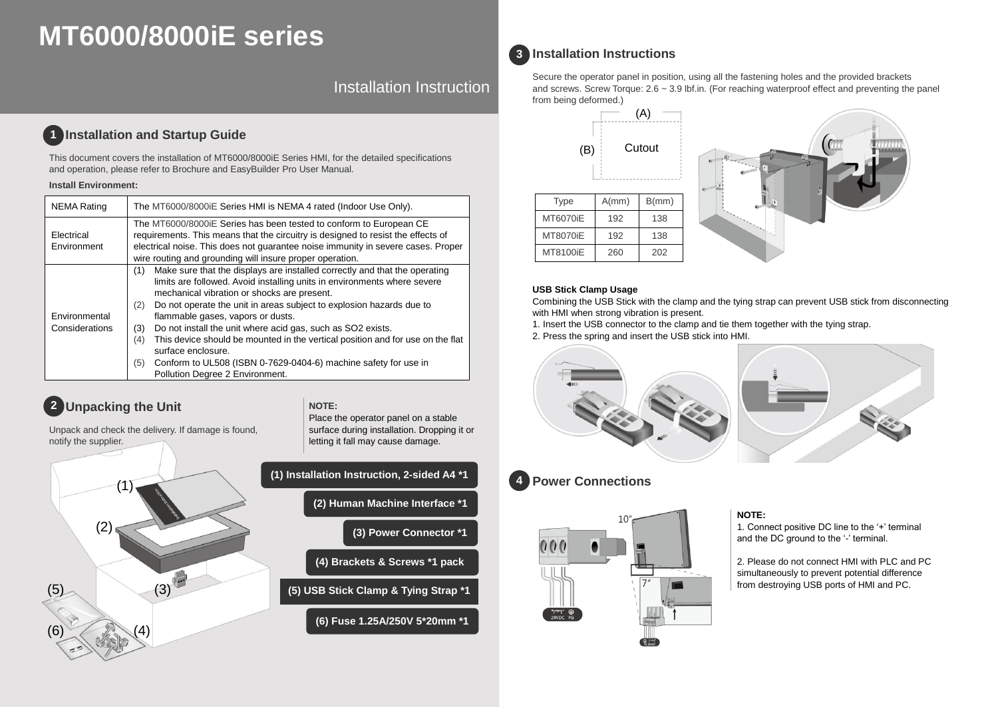# **MT6000/8000iE series**

Installation Instruction

#### **Installation and Startup Guide 1**

This document covers the installation of MT6000/8000iE Series HMI, for the detailed specifications and operation, please refer to Brochure and EasyBuilder Pro User Manual.

#### **Install Environment:**

| <b>NEMA Rating</b>              | The MT6000/8000 iE Series HMI is NEMA 4 rated (Indoor Use Only).                                                                                                                                                                                                                                                                                                                                                                                                                                                                                                                                                                   |  |  |  |  |
|---------------------------------|------------------------------------------------------------------------------------------------------------------------------------------------------------------------------------------------------------------------------------------------------------------------------------------------------------------------------------------------------------------------------------------------------------------------------------------------------------------------------------------------------------------------------------------------------------------------------------------------------------------------------------|--|--|--|--|
| Electrical<br>Environment       | The MT6000/8000 E Series has been tested to conform to European CE<br>requirements. This means that the circuitry is designed to resist the effects of<br>electrical noise. This does not guarantee noise immunity in severe cases. Proper<br>wire routing and grounding will insure proper operation.                                                                                                                                                                                                                                                                                                                             |  |  |  |  |
| Environmental<br>Considerations | Make sure that the displays are installed correctly and that the operating<br>(1)<br>limits are followed. Avoid installing units in environments where severe<br>mechanical vibration or shocks are present.<br>Do not operate the unit in areas subject to explosion hazards due to<br>(2)<br>flammable gases, vapors or dusts.<br>Do not install the unit where acid gas, such as SO2 exists.<br>(3)<br>This device should be mounted in the vertical position and for use on the flat<br>(4)<br>surface enclosure.<br>Conform to UL508 (ISBN 0-7629-0404-6) machine safety for use in<br>(5)<br>Pollution Degree 2 Environment. |  |  |  |  |

## **2 Unpacking the Unit CONSUMPLER NOTE:**

Unpack and check the delivery. If damage is found, notify the supplier.



| (1) Installation Instruction, 2-sided A4 *1 |                                      |  |  |  |  |
|---------------------------------------------|--------------------------------------|--|--|--|--|
|                                             | (2) Human Machine Interface *1       |  |  |  |  |
|                                             | (3) Power Connector *1               |  |  |  |  |
| (4) Brackets & Screws *1 pack               |                                      |  |  |  |  |
|                                             | (5) USB Stick Clamp & Tying Strap *1 |  |  |  |  |
| (6) Fuse 1.25A/250V 5*20mm *1               |                                      |  |  |  |  |

Place the operator panel on a stable surface during installation. Dropping it or letting it fall may cause damage.

### **Installation Instructions 3**

Secure the operator panel in position, using all the fastening holes and the provided brackets and screws. Screw Torque: 2.6 ~ 3.9 lbf.in. (For reaching waterproof effect and preventing the panel from being deformed.)





### **USB Stick Clamp Usage**

Combining the USB Stick with the clamp and the tying strap can prevent USB stick from disconnecting with HMI when strong vibration is present.

1. Insert the USB connector to the clamp and tie them together with the tying strap.

2. Press the spring and insert the USB stick into HMI.



#### **Power Connections 4**



### **NOTE:**

1. Connect positive DC line to the '+' terminal and the DC ground to the '-' terminal.

2. Please do not connect HMI with PLC and PC simultaneously to prevent potential difference from destroying USB ports of HMI and PC.